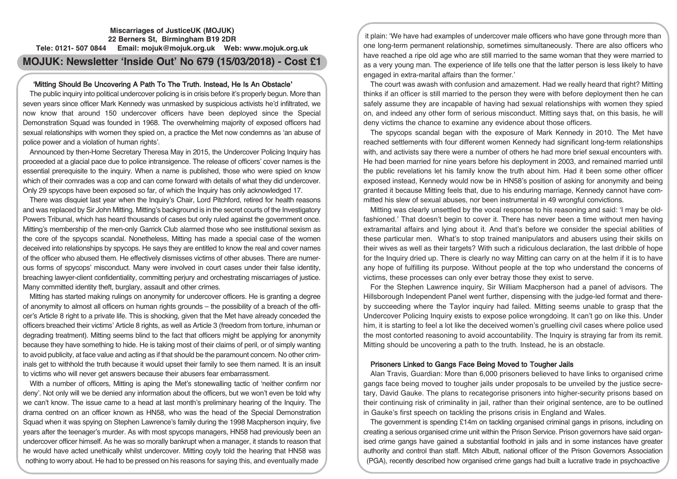# **Miscarriages of JusticeUK (MOJUK) 22 Berners St, Birmingham B19 2DR Tele: 0121- 507 0844 Email: mojuk@mojuk.org.uk Web: www.mojuk.org.uk MOJUK: Newsletter 'Inside Out' No 679 (15/03/2018) - Cost £1**

## 'Mitting Should Be Uncovering A Path To The Truth. Instead, He Is An Obstacle'

The public inquiry into political undercover policing is in crisis before it's properly begun. More than seven years since officer Mark Kennedy was unmasked by suspicious activists he'd infiltrated, we now know that around 150 undercover officers have been deployed since the Special Demonstration Squad was founded in 1968. The overwhelming majority of exposed officers had sexual relationships with women they spied on, a practice the Met now condemns as 'an abuse of police power and a violation of human rights'.

Announced by then-Home Secretary Theresa May in 2015, the Undercover Policing Inquiry has proceeded at a glacial pace due to police intransigence. The release of officers' cover names is the essential prerequisite to the inquiry. When a name is published, those who were spied on know which of their comrades was a cop and can come forward with details of what they did undercover. Only 29 spycops have been exposed so far, of which the Inquiry has only acknowledged 17.

There was disquiet last year when the Inquiry's Chair, Lord Pitchford, retired for health reasons and was replaced by Sir John Mitting. Mitting's background is in the secret courts of the Investigatory Powers Tribunal, which has heard thousands of cases but only ruled against the government once. Mitting's membership of the men-only Garrick Club alarmed those who see institutional sexism as the core of the spycops scandal. Nonetheless, Mitting has made a special case of the women deceived into relationships by spycops. He says they are entitled to know the real and cover names of the officer who abused them. He effectively dismisses victims of other abuses. There are numerous forms of spycops' misconduct. Many were involved in court cases under their false identity, breaching lawyer-client confidentiality, committing perjury and orchestrating miscarriages of justice. Many committed identity theft, burglary, assault and other crimes.

Mitting has started making rulings on anonymity for undercover officers. He is granting a degree of anonymity to almost all officers on human rights grounds – the possibility of a breach of the officer's Article 8 right to a private life. This is shocking, given that the Met have already conceded the officers breached their victims' Article 8 rights, as well as Article 3 (freedom from torture, inhuman or degrading treatment). Mitting seems blind to the fact that officers might be applying for anonymity because they have something to hide. He is taking most of their claims of peril, or of simply wanting to avoid publicity, at face value and acting as if that should be the paramount concern. No other criminals get to withhold the truth because it would upset their family to see them named. It is an insult to victims who will never get answers because their abusers fear embarrassment.

With a number of officers, Mitting is aping the Met's stonewalling tactic of 'neither confirm nor deny'. Not only will we be denied any information about the officers, but we won't even be told why we can't know. The issue came to a head at last month's preliminary hearing of the Inquiry. The drama centred on an officer known as HN58, who was the head of the Special Demonstration Squad when it was spying on Stephen Lawrence's family during the 1998 Macpherson inquiry, five years after the teenager's murder. As with most spycops managers, HN58 had previously been an undercover officer himself. As he was so morally bankrupt when a manager, it stands to reason that he would have acted unethically whilst undercover. Mitting coyly told the hearing that HN58 was nothing to worry about. He had to be pressed on his reasons for saying this, and eventually made

it plain: 'We have had examples of undercover male officers who have gone through more than one long-term permanent relationship, sometimes simultaneously. There are also officers who have reached a ripe old age who are still married to the same woman that they were married to as a very young man. The experience of life tells one that the latter person is less likely to have engaged in extra-marital affairs than the former.'

The court was awash with confusion and amazement. Had we really heard that right? Mitting thinks if an officer is still married to the person they were with before deployment then he can safely assume they are incapable of having had sexual relationships with women they spied on, and indeed any other form of serious misconduct. Mitting says that, on this basis, he will deny victims the chance to examine any evidence about those officers.

The spycops scandal began with the exposure of Mark Kennedy in 2010. The Met have reached settlements with four different women Kennedy had significant long-term relationships with, and activists say there were a number of others he had more brief sexual encounters with. He had been married for nine years before his deployment in 2003, and remained married until the public revelations let his family know the truth about him. Had it been some other officer exposed instead, Kennedy would now be in HN58's position of asking for anonymity and being granted it because Mitting feels that, due to his enduring marriage, Kennedy cannot have committed his slew of sexual abuses, nor been instrumental in 49 wrongful convictions.

Mitting was clearly unsettled by the vocal response to his reasoning and said: 'I may be oldfashioned.' That doesn't begin to cover it. There has never been a time without men having extramarital affairs and lying about it. And that's before we consider the special abilities of these particular men. What's to stop trained manipulators and abusers using their skills on their wives as well as their targets? With such a ridiculous declaration, the last dribble of hope for the Inquiry dried up. There is clearly no way Mitting can carry on at the helm if it is to have any hope of fulfilling its purpose. Without people at the top who understand the concerns of victims, these processes can only ever betray those they exist to serve.

For the Stephen Lawrence inquiry, Sir William Macpherson had a panel of advisors. The Hillsborough Independent Panel went further, dispensing with the judge-led format and thereby succeeding where the Taylor inquiry had failed. Mitting seems unable to grasp that the Undercover Policing Inquiry exists to expose police wrongdoing. It can't go on like this. Under him, it is starting to feel a lot like the deceived women's gruelling civil cases where police used the most contorted reasoning to avoid accountability. The Inquiry is straying far from its remit. Mitting should be uncovering a path to the truth. Instead, he is an obstacle.

# Prisoners Linked to Gangs Face Being Moved to Tougher Jails

Alan Travis, Guardian: More than 6,000 prisoners believed to have links to organised crime gangs face being moved to tougher jails under proposals to be unveiled by the justice secretary, David Gauke. The plans to recategorise prisoners into higher-security prisons based on their continuing risk of criminality in jail, rather than their original sentence, are to be outlined in Gauke's first speech on tackling the prisons crisis in England and Wales.

The government is spending £14m on tackling organised criminal gangs in prisons, including on creating a serious organised crime unit within the Prison Service. Prison governors have said organised crime gangs have gained a substantial foothold in jails and in some instances have greater authority and control than staff. Mitch Albutt, national officer of the Prison Governors Association (PGA), recently described how organised crime gangs had built a lucrative trade in psychoactive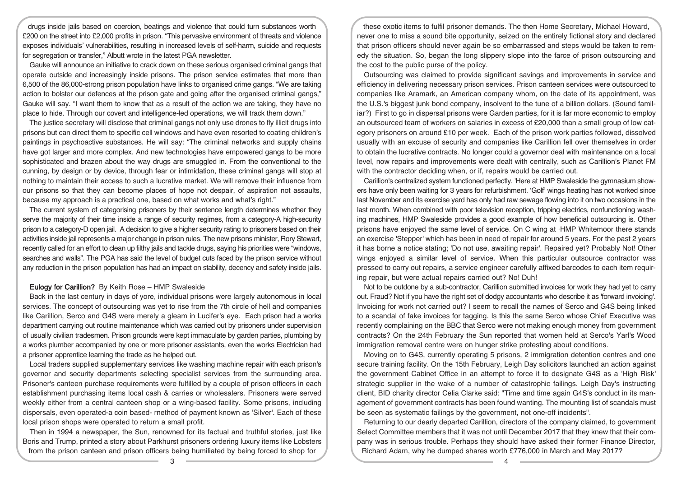drugs inside jails based on coercion, beatings and violence that could turn substances worth £200 on the street into £2,000 profits in prison. "This pervasive environment of threats and violence exposes individuals' vulnerabilities, resulting in increased levels of self-harm, suicide and requests for segregation or transfer," Albutt wrote in the latest PGA newsletter.

Gauke will announce an initiative to crack down on these serious organised criminal gangs that operate outside and increasingly inside prisons. The prison service estimates that more than 6,500 of the 86,000-strong prison population have links to organised crime gangs. "We are taking action to bolster our defences at the prison gate and going after the organised criminal gangs," Gauke will say. "I want them to know that as a result of the action we are taking, they have no place to hide. Through our covert and intelligence-led operations, we will track them down."

The justice secretary will disclose that criminal gangs not only use drones to fly illicit drugs into prisons but can direct them to specific cell windows and have even resorted to coating children's paintings in psychoactive substances. He will say: "The criminal networks and supply chains have got larger and more complex. And new technologies have empowered gangs to be more sophisticated and brazen about the way drugs are smuggled in. From the conventional to the cunning, by design or by device, through fear or intimidation, these criminal gangs will stop at nothing to maintain their access to such a lucrative market. We will remove their influence from our prisons so that they can become places of hope not despair, of aspiration not assaults, because my approach is a practical one, based on what works and what's right."

The current system of categorising prisoners by their sentence length determines whether they serve the majority of their time inside a range of security regimes, from a category-A high-security prison to a category-D open jail. A decision to give a higher security rating to prisoners based on their activities inside jail represents a major change in prison rules. The new prisons minister, Rory Stewart, recently called for an effort to clean up filthy jails and tackle drugs, saying his priorities were "windows, searches and walls". The PGA has said the level of budget cuts faced by the prison service without any reduction in the prison population has had an impact on stability, decency and safety inside jails.

#### Eulogy for Carillion? By Keith Rose – HMP Swaleside

Back in the last century in days of yore, individual prisons were largely autonomous in local services. The concept of outsourcing was yet to rise from the 7th circle of hell and companies like Carillion, Serco and G4S were merely a gleam in Lucifer's eye. Each prison had a works department carrying out routine maintenance which was carried out by prisoners under supervision of usually civilian tradesmen. Prison grounds were kept immaculate by garden parties, plumbing by a works plumber accompanied by one or more prisoner assistants, even the works Electrician had a prisoner apprentice learning the trade as he helped out.

Local traders supplied supplementary services like washing machine repair with each prison's governor and security departments selecting specialist services from the surrounding area. Prisoner's canteen purchase requirements were fulfilled by a couple of prison officers in each establishment purchasing items local cash & carries or wholesalers. Prisoners were served weekly either from a central canteen shop or a wing-based facility. Some prisons, including dispersals, even operated-a coin based- rnethod of payment known as 'Silver'. Each of these local prison shops were operated to return a small profit.

Then in 1994 a newspaper, the Sun, renowned for its factual and truthful stories, just like Boris and Trump, printed a story about Parkhurst prisoners ordering luxury items like Lobsters from the prison canteen and prison officers being humiliated by being forced to shop for

these exotic items to fulfil prisoner demands. The then Home Secretary, Michael Howard, never one to miss a sound bite opportunity, seized on the entirely fictional story and declared that prison officers should never again be so embarrassed and steps would be taken to remedy the situation. So, began the long slippery slope into the farce of prison outsourcing and the cost to the public purse of the policy.

Outsourcing was claimed to provide significant savings and improvements in service and efficiency in delivering necessary prison services. Prison canteen services were outsourced to companies like Aramark, an American company whom, on the date of its appointment, was the U.S.'s biggest junk bond company, insolvent to the tune of a billion dollars. (Sound familiar?) First to go in dispersal prisons were Garden parties, for it is far more economic to employ an outsourced team of workers on salaries in excess of £20,000 than a small group of low category prisoners on around £10 per week. Each of the prison work parties followed, dissolved usually with an excuse of security and companies like Carillion fell over themselves in order to obtain the lucrative contracts. No longer could a governor deal with maintenance on a local level, now repairs and improvements were dealt with centrally, such as Carillion's Planet FM with the contractor deciding when, or if, repairs would be carried out.

Carillion's centralized system functioned perfectly. 'Here at HMP Swaleside the gymnasium showers have only been waiting for 3 years for refurbishment. 'Golf' wings heating has not worked since last November and its exercise yard has only had raw sewage flowing into it on two occasions in the last month. When combined with poor television reception, tripping electrics, nonfunctioning washing machines, HMP Swaleside provides a good example of how beneficial outsourcing is. Other prisons have enjoyed the same level of service. On C wing at ·HMP Whitemoor there stands an exercise 'Stepper' which has been in need of repair for around 5 years. For the past 2 years it has borne a notice stating; 'Do not use, awaiting repair'. Repaired yet? Probably Not! Other wings enjoyed a similar level of service. When this particular outsource contractor was pressed to carry out repairs, a service engineer carefully affixed barcodes to each item requiring repair, but were actual repairs carried out? No! Duh!

Not to be outdone by a sub-contractor, Carillion submitted invoices for work they had yet to carry out. Fraud? Not if you have the right set of dodgy accountants who describe it as 'forward invoicing'. Invoicing for work not carried out? I seem to recall the names of Serco and G4S being linked to a scandal of fake invoices for tagging. Is this the same Serco whose Chief Executive was recently complaining on the BBC that Serco were not making enough money from government contracts? On the 24th February the Sun reported that women held at Serco's Yarl's Wood immigration removal centre were on hunger strike protesting about conditions.

Moving on to G4S, currently operating 5 prisons, 2 immigration detention centres and one secure training facility. On the 15th February, Leigh Day solicitors launched an action against the government Cabinet Office in an attempt to force it to designate G4S as a 'High Risk' strategic supplier in the wake of a number of catastrophic failings. Leigh Day's instructing client, BID charity director Celia Clarke said: "Time and time again G4S's conduct in its management of government contracts has been found wanting. The mounting list of scandals must be seen as systematic failings by the government, not one-off incidents".

Returning to our dearly departed Carillion, directors of the company claimed, to government Select Committee members that it was not until December 2017 that they knew that their company was in serious trouble. Perhaps they should have asked their former Finance Director, Richard Adam, why he dumped shares worth £776,000 in March and May 2017?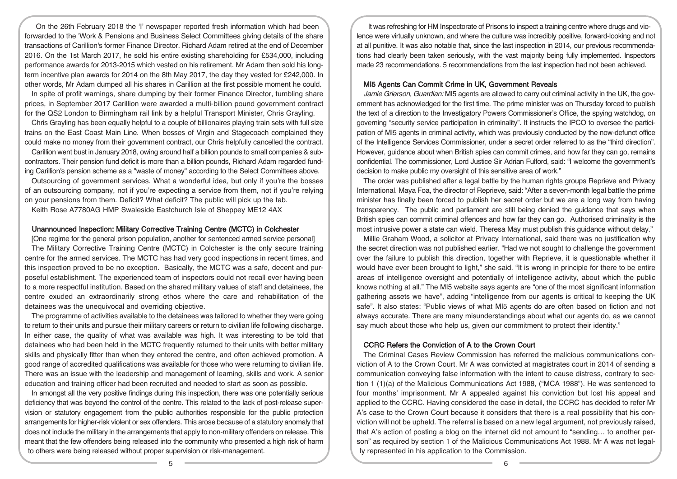On the 26th February 2018 the 'I' newspaper reported fresh information which had been forwarded to the 'Work & Pensions and Business Select Committees giving details of the share transactions of Carillion's former Finance Director. Richard Adam retired at the end of December 2016. On the 1st March 2017, he sold his entire existing shareholding for £534,000, including performance awards for 2013-2015 which vested on his retirement. Mr Adam then sold his longterm incentive plan awards for 2014 on the 8th May 2017, the day they vested for £242,000. In other words, Mr Adam dumped all his shares in Carillion at the first possible moment he could.

In spite of profit warnings, share dumping by their former Finance Director, tumbling share prices, in September 2017 Carillion were awarded a multi-billion pound government contract for the QS2 London to Birmingham rail link by a helpful Transport Minister, Chris Grayling.

Chris Grayling has been equally helpful to a couple of billionaires playing train sets with full size trains on the East Coast Main Line. When bosses of Virgin and Stagecoach complained they could make no money from their government contract, our Chris helpfully cancelled the contract.

Carillion went bust in January 2018, owing around half a billion pounds to small companies & subcontractors. Their pension fund deficit is more than a billion pounds, Richard Adam regarded funding Carillion's pension scheme as a "waste of money" according to the Select Committees above.

Outsourcing of government services. What a wonderful idea, but only if you're the bosses of an outsourcing company, not if you're expecting a service from them, not if you're relying on your pensions from them. Deficit? What deficit? The public will pick up the tab.

Keith Rose A7780AG HMP Swaleside Eastchurch Isle of Sheppey ME12 4AX

## Unannounced Inspection: Military Corrective Training Centre (MCTC) in Colchester

[One regime for the general prison population, another for sentenced armed service personal] The Military Corrective Training Centre (MCTC) in Colchester is the only secure training centre for the armed services. The MCTC has had very good inspections in recent times, and this inspection proved to be no exception. Basically, the MCTC was a safe, decent and purposeful establishment. The experienced team of inspectors could not recall ever having been to a more respectful institution. Based on the shared military values of staff and detainees, the centre exuded an extraordinarily strong ethos where the care and rehabilitation of the detainees was the unequivocal and overriding objective.

The programme of activities available to the detainees was tailored to whether they were going to return to their units and pursue their military careers or return to civilian life following discharge. In either case, the quality of what was available was high. It was interesting to be told that detainees who had been held in the MCTC frequently returned to their units with better military skills and physically fitter than when they entered the centre, and often achieved promotion. A good range of accredited qualifications was available for those who were returning to civilian life. There was an issue with the leadership and management of learning, skills and work. A senior education and training officer had been recruited and needed to start as soon as possible.

In amongst all the very positive findings during this inspection, there was one potentially serious deficiency that was beyond the control of the centre. This related to the lack of post-release supervision or statutory engagement from the public authorities responsible for the public protection arrangements for higher-risk violent or sex offenders. This arose because of a statutory anomaly that does not include the military in the arrangements that apply to non-military offenders on release. This meant that the few offenders being released into the community who presented a high risk of harm to others were being released without proper supervision or risk-management.

It was refreshing for HM Inspectorate of Prisons to inspect a training centre where drugs and violence were virtually unknown, and where the culture was incredibly positive, forward-looking and not at all punitive. It was also notable that, since the last inspection in 2014, our previous recommendations had clearly been taken seriously, with the vast majority being fully implemented. Inspectors made 23 recommendations. 5 recommendations from the last inspection had not been achieved.

## MI5 Agents Can Commit Crime in UK, Government Reveals

Jamie Grierson, Guardian: MI5 agents are allowed to carry out criminal activity in the UK, the government has acknowledged for the first time. The prime minister was on Thursday forced to publish the text of a direction to the Investigatory Powers Commissioner's Office, the spying watchdog, on governing "security service participation in criminality". It instructs the IPCO to oversee the participation of MI5 agents in criminal activity, which was previously conducted by the now-defunct office of the Intelligence Services Commissioner, under a secret order referred to as the "third direction". However, guidance about when British spies can commit crimes, and how far they can go, remains confidential. The commissioner, Lord Justice Sir Adrian Fulford, said: "I welcome the government's decision to make public my oversight of this sensitive area of work."

The order was published after a legal battle by the human rights groups Reprieve and Privacy International. Maya Foa, the director of Reprieve, said: "After a seven-month legal battle the prime minister has finally been forced to publish her secret order but we are a long way from having transparency. The public and parliament are still being denied the guidance that says when British spies can commit criminal offences and how far they can go. Authorised criminality is the most intrusive power a state can wield. Theresa May must publish this guidance without delay."

Millie Graham Wood, a solicitor at Privacy International, said there was no justification why the secret direction was not published earlier. "Had we not sought to challenge the government over the failure to publish this direction, together with Reprieve, it is questionable whether it would have ever been brought to light," she said. "It is wrong in principle for there to be entire areas of intelligence oversight and potentially of intelligence activity, about which the public knows nothing at all." The MI5 website says agents are "one of the most significant information gathering assets we have", adding "intelligence from our agents is critical to keeping the UK safe". It also states: "Public views of what MI5 agents do are often based on fiction and not always accurate. There are many misunderstandings about what our agents do, as we cannot say much about those who help us, given our commitment to protect their identity."

#### CCRC Refers the Conviction of A to the Crown Court

The Criminal Cases Review Commission has referred the malicious communications conviction of A to the Crown Court. Mr A was convicted at magistrates court in 2014 of sending a communication conveying false information with the intent to cause distress, contrary to section 1 (1)(a) of the Malicious Communications Act 1988, ("MCA 1988"). He was sentenced to four months' imprisonment. Mr A appealed against his conviction but lost his appeal and applied to the CCRC. Having considered the case in detail, the CCRC has decided to refer Mr A's case to the Crown Court because it considers that there is a real possibility that his conviction will not be upheld. The referral is based on a new legal argument, not previously raised, that A's action of posting a blog on the internet did not amount to "sending… to another person" as required by section 1 of the Malicious Communications Act 1988. Mr A was not legally represented in his application to the Commission.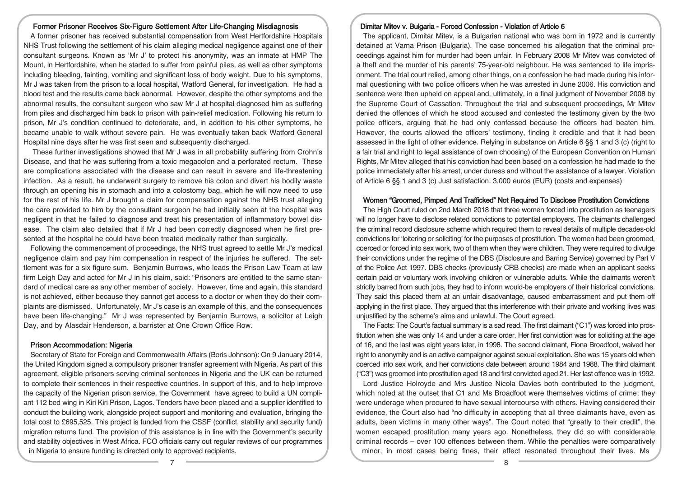## Former Prisoner Receives Six-Figure Settlement After Life-Changing Misdiagnosis

A former prisoner has received substantial compensation from West Hertfordshire Hospitals NHS Trust following the settlement of his claim alleging medical negligence against one of their consultant surgeons. Known as 'Mr J' to protect his anonymity, was an inmate at HMP The Mount, in Hertfordshire, when he started to suffer from painful piles, as well as other symptoms including bleeding, fainting, vomiting and significant loss of body weight. Due to his symptoms, Mr J was taken from the prison to a local hospital, Watford General, for investigation. He had a blood test and the results came back abnormal. However, despite the other symptoms and the abnormal results, the consultant surgeon who saw Mr J at hospital diagnosed him as suffering from piles and discharged him back to prison with pain-relief medication. Following his return to prison, Mr J's condition continued to deteriorate, and, in addition to his other symptoms, he became unable to walk without severe pain. He was eventually taken back Watford General Hospital nine days after he was first seen and subsequently discharged.

These further investigations showed that Mr J was in all probability suffering from Crohn's Disease, and that he was suffering from a toxic megacolon and a perforated rectum. These are complications associated with the disease and can result in severe and life-threatening infection. As a result, he underwent surgery to remove his colon and divert his bodily waste through an opening his in stomach and into a colostomy bag, which he will now need to use for the rest of his life. Mr J brought a claim for compensation against the NHS trust alleging the care provided to him by the consultant surgeon he had initially seen at the hospital was negligent in that he failed to diagnose and treat his presentation of inflammatory bowel disease. The claim also detailed that if Mr J had been correctly diagnosed when he first presented at the hospital he could have been treated medically rather than surgically.

Following the commencement of proceedings, the NHS trust agreed to settle Mr J's medical negligence claim and pay him compensation in respect of the injuries he suffered. The settlement was for a six figure sum. Benjamin Burrows, who leads the Prison Law Team at law firm Leigh Day and acted for Mr J in his claim, said: "Prisoners are entitled to the same standard of medical care as any other member of society. However, time and again, this standard is not achieved, either because they cannot get access to a doctor or when they do their complaints are dismissed. Unfortunately, Mr J's case is an example of this, and the consequences have been life-changing." Mr J was represented by Benjamin Burrows, a solicitor at Leigh Day, and by Alasdair Henderson, a barrister at One Crown Office Row.

#### Prison Accommodation: Nigeria

Secretary of State for Foreign and Commonwealth Affairs (Boris Johnson): On 9 January 2014, the United Kingdom signed a compulsory prisoner transfer agreement with Nigeria. As part of this agreement, eligible prisoners serving criminal sentences in Nigeria and the UK can be returned to complete their sentences in their respective countries. In support of this, and to help improve the capacity of the Nigerian prison service, the Government have agreed to build a UN compliant 112 bed wing in Kiri Kiri Prison, Lagos. Tenders have been placed and a supplier identified to conduct the building work, alongside project support and monitoring and evaluation, bringing the total cost to £695,525. This project is funded from the CSSF (conflict, stability and security fund) migration returns fund. The provision of this assistance is in line with the Government's security and stability objectives in West Africa. FCO officials carry out regular reviews of our programmes in Nigeria to ensure funding is directed only to approved recipients.

#### Dimitar Mitev v. Bulgaria - Forced Confession - Violation of Article 6

The applicant, Dimitar Mitev, is a Bulgarian national who was born in 1972 and is currently detained at Varna Prison (Bulgaria). The case concerned his allegation that the criminal proceedings against him for murder had been unfair. In February 2008 Mr Mitev was convicted of a theft and the murder of his parents' 75-year-old neighbour. He was sentenced to life imprisonment. The trial court relied, among other things, on a confession he had made during his informal questioning with two police officers when he was arrested in June 2006. His conviction and sentence were then upheld on appeal and, ultimately, in a final judgment of November 2008 by the Supreme Court of Cassation. Throughout the trial and subsequent proceedings, Mr Mitev denied the offences of which he stood accused and contested the testimony given by the two police officers, arguing that he had only confessed because the officers had beaten him. However, the courts allowed the officers' testimony, finding it credible and that it had been assessed in the light of other evidence. Relying in substance on Article 6 §§ 1 and 3 (c) (right to a fair trial and right to legal assistance of own choosing) of the European Convention on Human Rights, Mr Mitev alleged that his conviction had been based on a confession he had made to the police immediately after his arrest, under duress and without the assistance of a lawyer. Violation of Article 6 §§ 1 and 3 (c) Just satisfaction: 3,000 euros (EUR) (costs and expenses)

## Women "Groomed, Pimped And Trafficked" Not Required To Disclose Prostitution Convictions

The High Court ruled on 2nd March 2018 that three women forced into prostitution as teenagers will no longer have to disclose related convictions to potential employers. The claimants challenged the criminal record disclosure scheme which required them to reveal details of multiple decades-old convictions for 'loitering or soliciting' for the purposes of prostitution. The women had been groomed, coerced or forced into sex work, two of them when they were children. They were required to divulge their convictions under the regime of the DBS (Disclosure and Barring Service) governed by Part V of the Police Act 1997. DBS checks (previously CRB checks) are made when an applicant seeks certain paid or voluntary work involving children or vulnerable adults. While the claimants weren't strictly barred from such jobs, they had to inform would-be employers of their historical convictions. They said this placed them at an unfair disadvantage, caused embarrassment and put them off applying in the first place. They argued that this interference with their private and working lives was unjustified by the scheme's aims and unlawful. The Court agreed.

The Facts: The Court's factual summary is a sad read. The first claimant ("C1") was forced into prostitution when she was only 14 and under a care order. Her first conviction was for soliciting at the age of 16, and the last was eight years later, in 1998. The second claimant, Fiona Broadfoot, waived her right to anonymity and is an active campaigner against sexual exploitation. She was 15 years old when coerced into sex work, and her convictions date between around 1984 and 1988. The third claimant ("C3") was groomed into prostitution aged 18 and first convicted aged 21. Her last offence was in 1992.

Lord Justice Holroyde and Mrs Justice Nicola Davies both contributed to the judgment, which noted at the outset that C1 and Ms Broadfoot were themselves victims of crime; they were underage when procured to have sexual intercourse with others. Having considered their evidence, the Court also had "no difficulty in accepting that all three claimants have, even as adults, been victims in many other ways". The Court noted that "greatly to their credit", the women escaped prostitution many years ago. Nonetheless, they did so with considerable criminal records – over 100 offences between them. While the penalties were comparatively minor, in most cases being fines, their effect resonated throughout their lives. Ms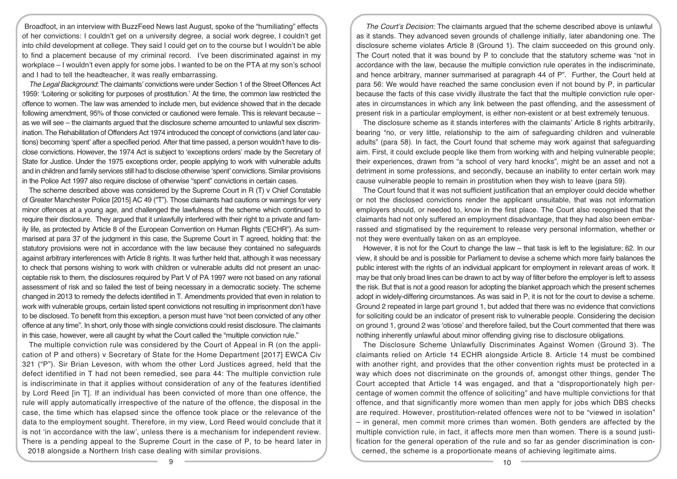Broadfoot, in an interview with BuzzFeed News last August, spoke of the "humiliating" effects of her convictions: I couldn't get on a university degree, a social work degree, I couldn't get into child development at college. They said I could get on to the course but I wouldn't be able to find a placement because of my criminal record. I've been discriminated against in my workplace – I wouldn't even apply for some jobs. I wanted to be on the PTA at my son's school and I had to tell the headteacher, it was really embarrassing.

The Legal Background: The claimants' convictions were under Section 1 of the Street Offences Act 1959: 'Loitering or soliciting for purposes of prostitution.' At the time, the common law restricted the offence to women. The law was amended to include men, but evidence showed that in the decade following amendment, 95% of those convicted or cautioned were female. This is relevant because – as we will see – the claimants argued that the disclosure scheme amounted to unlawful sex discrimination. The Rehabilitation of Offenders Act 1974 introduced the concept of convictions (and later cautions) becoming 'spent' after a specified period. After that time passed, a person wouldn't have to disclose convictions. However, the 1974 Act is subject to 'exceptions orders' made by the Secretary of State for Justice. Under the 1975 exceptions order, people applying to work with vulnerable adults and in children and family services still had to disclose otherwise 'spent' convictions. Similar provisions in the Police Act 1997 also require disclose of otherwise "spent" convictions in certain cases.

The scheme described above was considered by the Supreme Court in R (T) v Chief Constable of Greater Manchester Police [2015] AC 49 ("T"). Those claimants had cautions or warnings for very minor offences at a young age, and challenged the lawfulness of the scheme which continued to require their disclosure. They argued that it unlawfully interfered with their right to a private and family life, as protected by Article 8 of the European Convention on Human Rights ("ECHR"). As summarised at para 37 of the judgment in this case, the Supreme Court in T agreed, holding that: the statutory provisions were not in accordance with the law because they contained no safeguards against arbitrary interferences with Article 8 rights. It was further held that, although it was necessary to check that persons wishing to work with children or vulnerable adults did not present an unacceptable risk to them, the disclosures required by Part V of PA 1997 were not based on any rational assessment of risk and so failed the test of being necessary in a democratic society. The scheme changed in 2013 to remedy the defects identified in T. Amendments provided that even in relation to work with vulnerable groups, certain listed spent convictions not resulting in imprisonment don't have to be disclosed. To benefit from this exception, a person must have "not been convicted of any other offence at any time". In short, only those with single convictions could resist disclosure. The claimants in this case, however, were all caught by what the Court called the "multiple conviction rule."

The multiple conviction rule was considered by the Court of Appeal in R (on the application of P and others) v Secretary of State for the Home Department [2017] EWCA Civ 321 ("P"). Sir Brian Leveson, with whom the other Lord Justices agreed, held that the defect identified in T had not been remedied, see para 44: The multiple conviction rule is indiscriminate in that it applies without consideration of any of the features identified by Lord Reed [in T]. If an individual has been convicted of more than one offence, the rule will apply automatically irrespective of the nature of the offence, the disposal in the case, the time which has elapsed since the offence took place or the relevance of the data to the employment sought. Therefore, in my view, Lord Reed would conclude that it is not 'in accordance with the law', unless there is a mechanism for independent review. There is a pending appeal to the Supreme Court in the case of P, to be heard later in 2018 alongside a Northern Irish case dealing with similar provisions.

The Court's Decision: The claimants argued that the scheme described above is unlawful as it stands. They advanced seven grounds of challenge initially, later abandoning one. The disclosure scheme violates Article 8 (Ground 1). The claim succeeded on this ground only. The Court noted that it was bound by P to conclude that the statutory scheme was "not in accordance with the law, because the multiple conviction rule operates in the indiscriminate, and hence arbitrary, manner summarised at paragraph 44 of P". Further, the Court held at para 56: We would have reached the same conclusion even if not bound by P, in particular because the facts of this case vividly illustrate the fact that the multiple conviction rule operates in circumstances in which any link between the past offending, and the assessment of present risk in a particular employment, is either non-existent or at best extremely tenuous.

The disclosure scheme as it stands interferes with the claimants' Article 8 rights arbitrarily, bearing "no, or very little, relationship to the aim of safeguarding children and vulnerable adults" (para 58). In fact, the Court found that scheme may work against that safeguarding aim. First, it could exclude people like them from working with and helping vulnerable people; their experiences, drawn from "a school of very hard knocks", might be an asset and not a detriment in some professions, and secondly, because an inability to enter certain work may cause vulnerable people to remain in prostitution when they wish to leave (para 59).

The Court found that it was not sufficient justification that an employer could decide whether or not the disclosed convictions render the applicant unsuitable, that was not information employers should, or needed to, know in the first place. The Court also recognised that the claimants had not only suffered an employment disadvantage, that they had also been embarrassed and stigmatised by the requirement to release very personal information, whether or not they were eventually taken on as an employee.

However, it is not for the Court to change the law – that task is left to the legislature: 62. In our view, it should be and is possible for Parliament to devise a scheme which more fairly balances the public interest with the rights of an individual applicant for employment in relevant areas of work. It may be that only broad lines can be drawn to act by way of filter before the employer is left to assess the risk. But that is not a good reason for adopting the blanket approach which the present schemes adopt in widely-differing circumstances. As was said in P, it is not for the court to devise a scheme. Ground 2 repeated in large part ground 1, but added that there was no evidence that convictions for soliciting could be an indicator of present risk to vulnerable people. Considering the decision on ground 1, ground 2 was 'otiose' and therefore failed, but the Court commented that there was nothing inherently unlawful about minor offending giving rise to disclosure obligations.

The Disclosure Scheme Unlawfully Discriminates Against Women (Ground 3). The claimants relied on Article 14 ECHR alongside Article 8. Article 14 must be combined with another right, and provides that the other convention rights must be protected in a way which does not discriminate on the grounds of, amongst other things, gender The Court accepted that Article 14 was engaged, and that a "disproportionately high percentage of women commit the offence of soliciting" and have multiple convictions for that offence, and that significantly more women than men apply for jobs which DBS checks are required. However, prostitution-related offences were not to be "viewed in isolation" – in general, men commit more crimes than women. Both genders are affected by the multiple conviction rule, in fact, it affects more men than women. There is a sound justification for the general operation of the rule and so far as gender discrimination is concerned, the scheme is a proportionate means of achieving legitimate aims.